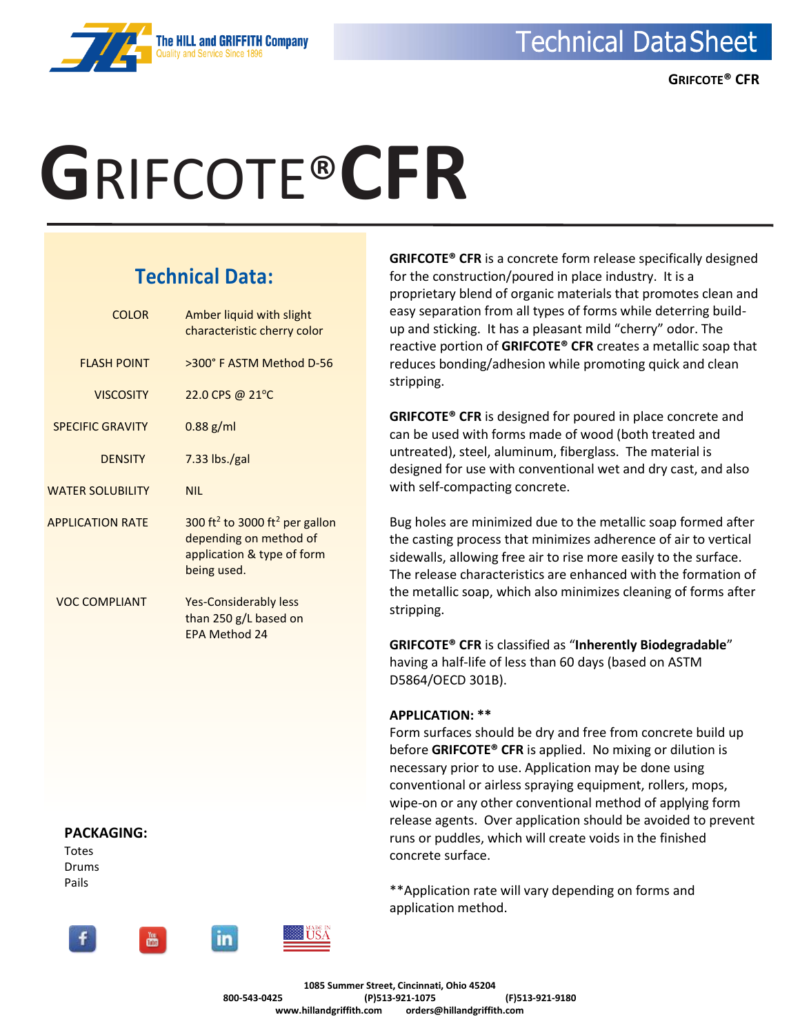# **G**RIFCOTE®**CFR**

### **Technical Data:**

| COLOR                   | Amber liquid with slight<br>characteristic cherry color                                                                       |
|-------------------------|-------------------------------------------------------------------------------------------------------------------------------|
| <b>FLASH POINT</b>      | >300° F ASTM Method D-56                                                                                                      |
| <b>VISCOSITY</b>        | 22.0 CPS @ 21°C                                                                                                               |
| <b>SPECIFIC GRAVITY</b> | $0.88$ g/ml                                                                                                                   |
| <b>DENSITY</b>          | $7.33$ lbs./gal                                                                                                               |
| <b>WATER SOLUBILITY</b> | <b>NIL</b>                                                                                                                    |
| <b>APPLICATION RATE</b> | 300 ft <sup>2</sup> to 3000 ft <sup>2</sup> per gallon<br>depending on method of<br>application & type of form<br>being used. |
| VOC COMPLIANT           | Yes-Considerably less<br>than 250 g/L based on<br>FPA Method 24                                                               |

**GRIFCOTE® CFR** is a concrete form release specifically designed for the construction/poured in place industry. It is a proprietary blend of organic materials that promotes clean and easy separation from all types of forms while deterring buildup and sticking. It has a pleasant mild "cherry" odor. The reactive portion of **GRIFCOTE® CFR** creates a metallic soap that reduces bonding/adhesion while promoting quick and clean stripping.

**GRIFCOTE® CFR** is designed for poured in place concrete and can be used with forms made of wood (both treated and untreated), steel, aluminum, fiberglass. The material is designed for use with conventional wet and dry cast, and also with self-compacting concrete.

Bug holes are minimized due to the metallic soap formed after the casting process that minimizes adherence of air to vertical sidewalls, allowing free air to rise more easily to the surface. The release characteristics are enhanced with the formation of the metallic soap, which also minimizes cleaning of forms after stripping.

**GRIFCOTE® CFR** is classified as "**Inherently Biodegradable**" having a half-life of less than 60 days (based on ASTM D5864/OECD 301B).

### **APPLICATION: \*\***

Form surfaces should be dry and free from concrete build up before **GRIFCOTE® CFR** is applied. No mixing or dilution is necessary prior to use. Application may be done using conventional or airless spraying equipment, rollers, mops, wipe-on or any other conventional method of applying form release agents. Over application should be avoided to prevent runs or puddles, which will create voids in the finished concrete surface.

\*\*Application rate will vary depending on forms and application method.

Totes Drums Pails